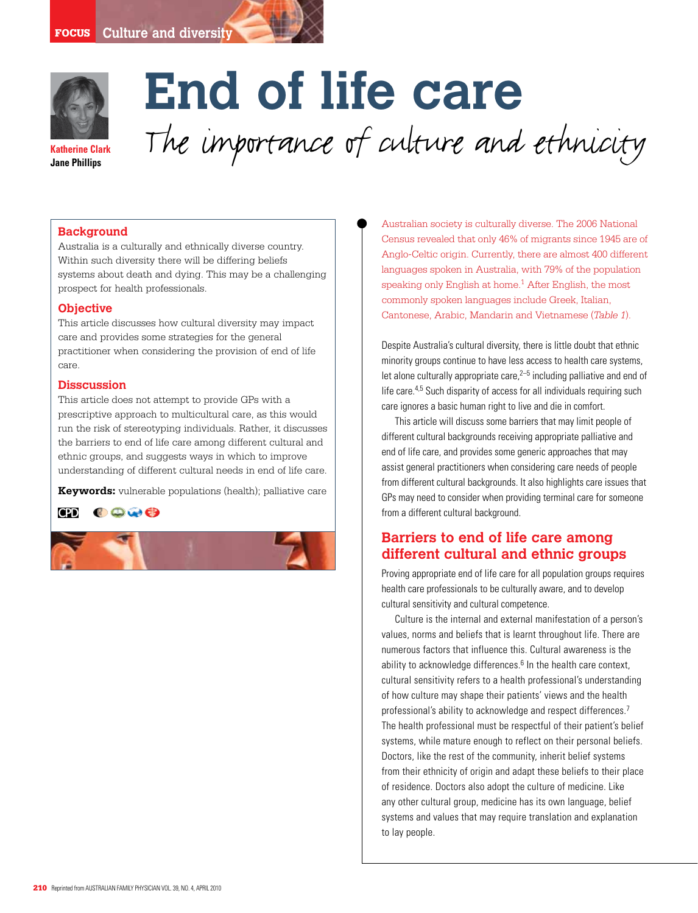

**Jane Phillips**

# **End of life care** The importance of culture and ethnicity

## **Background**

Australia is a culturally and ethnically diverse country. Within such diversity there will be differing beliefs systems about death and dying. This may be a challenging prospect for health professionals.

#### **Objective**

This article discusses how cultural diversity may impact care and provides some strategies for the general practitioner when considering the provision of end of life care.

#### **Disscussion**

This article does not attempt to provide GPs with a prescriptive approach to multicultural care, as this would run the risk of stereotyping individuals. Rather, it discusses the barriers to end of life care among different cultural and ethnic groups, and suggests ways in which to improve understanding of different cultural needs in end of life care.

**Keywords:** vulnerable populations (health); palliative care

**CPD** 800e



Australian society is culturally diverse. The 2006 National Census revealed that only 46% of migrants since 1945 are of Anglo-Celtic origin. Currently, there are almost 400 different languages spoken in Australia, with 79% of the population speaking only English at home.<sup>1</sup> After English, the most commonly spoken languages include Greek, Italian, Cantonese, Arabic, Mandarin and Vietnamese (*Table 1*).

Despite Australia's cultural diversity, there is little doubt that ethnic minority groups continue to have less access to health care systems, let alone culturally appropriate care, $2-5$  including palliative and end of life care.4,5 Such disparity of access for all individuals requiring such care ignores a basic human right to live and die in comfort.

This article will discuss some barriers that may limit people of different cultural backgrounds receiving appropriate palliative and end of life care, and provides some generic approaches that may assist general practitioners when considering care needs of people from different cultural backgrounds. It also highlights care issues that GPs may need to consider when providing terminal care for someone from a different cultural background.

## **Barriers to end of life care among different cultural and ethnic groups**

Proving appropriate end of life care for all population groups requires health care professionals to be culturally aware, and to develop cultural sensitivity and cultural competence.

Culture is the internal and external manifestation of a person's values, norms and beliefs that is learnt throughout life. There are numerous factors that influence this. Cultural awareness is the ability to acknowledge differences. $6$  In the health care context, cultural sensitivity refers to a health professional's understanding of how culture may shape their patients' views and the health professional's ability to acknowledge and respect differences.<sup>7</sup> The health professional must be respectful of their patient's belief systems, while mature enough to reflect on their personal beliefs. Doctors, like the rest of the community, inherit belief systems from their ethnicity of origin and adapt these beliefs to their place of residence. Doctors also adopt the culture of medicine. Like any other cultural group, medicine has its own language, belief systems and values that may require translation and explanation to lay people.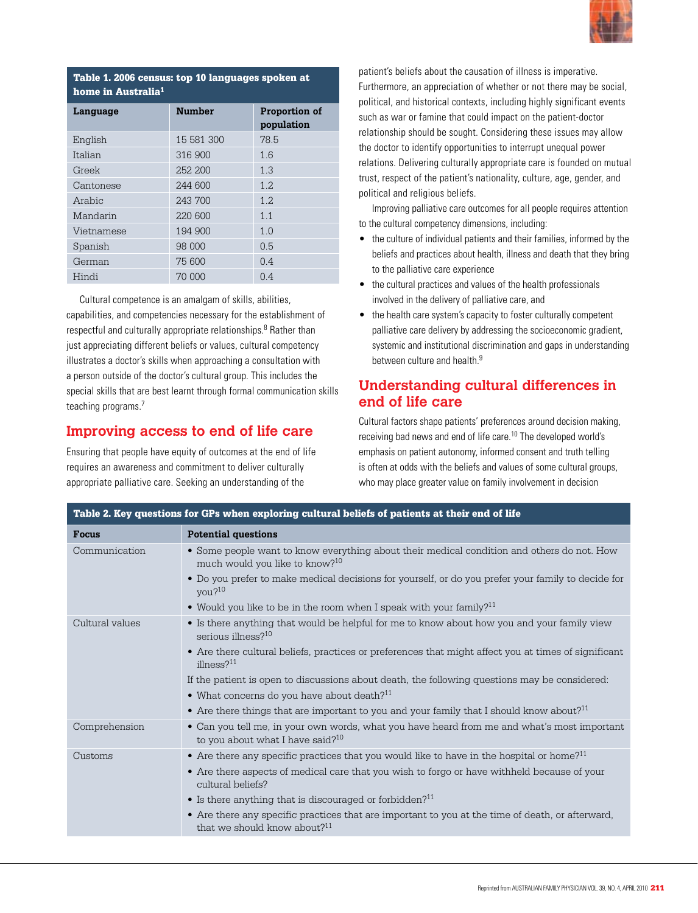

## Table 1. 2006 census: top 10 languages spoken at home in Australia1

| Language   | <b>Number</b> | Proportion of<br>population |
|------------|---------------|-----------------------------|
| English    | 15 581 300    | 78.5                        |
| Italian    | 316 900       | 1.6                         |
| Greek      | 252, 200      | 1.3                         |
| Cantonese  | 244 600       | 1.2.                        |
| Arabic     | 243 700       | 1.2.                        |
| Mandarin   | 220 600       | 1.1                         |
| Vietnamese | 194 900       | 1.0                         |
| Spanish    | 98 000        | 0.5                         |
| German     | 75 600        | 0.4                         |
| Hindi      | 70 000        | 0.4                         |

Cultural competence is an amalgam of skills, abilities, capabilities, and competencies necessary for the establishment of respectful and culturally appropriate relationships.<sup>8</sup> Rather than just appreciating different beliefs or values, cultural competency illustrates a doctor's skills when approaching a consultation with a person outside of the doctor's cultural group. This includes the special skills that are best learnt through formal communication skills teaching programs.7

# **Improving access to end of life care**

Ensuring that people have equity of outcomes at the end of life requires an awareness and commitment to deliver culturally appropriate palliative care. Seeking an understanding of the

patient's beliefs about the causation of illness is imperative. Furthermore, an appreciation of whether or not there may be social, political, and historical contexts, including highly significant events such as war or famine that could impact on the patient-doctor relationship should be sought. Considering these issues may allow the doctor to identify opportunities to interrupt unequal power relations. Delivering culturally appropriate care is founded on mutual trust, respect of the patient's nationality, culture, age, gender, and political and religious beliefs.

Improving palliative care outcomes for all people requires attention to the cultural competency dimensions, including:

- the culture of individual patients and their families, informed by the beliefs and practices about health, illness and death that they bring to the palliative care experience
- the cultural practices and values of the health professionals involved in the delivery of palliative care, and
- the health care system's capacity to foster culturally competent palliative care delivery by addressing the socioeconomic gradient, systemic and institutional discrimination and gaps in understanding between culture and health.<sup>9</sup>

# **Understanding cultural differences in end of life care**

Cultural factors shape patients' preferences around decision making, receiving bad news and end of life care.10 The developed world's emphasis on patient autonomy, informed consent and truth telling is often at odds with the beliefs and values of some cultural groups, who may place greater value on family involvement in decision

| Table 2. Key questions for GPs when exploring cultural beliefs of patients at their end of life |                                                                                                                                              |  |
|-------------------------------------------------------------------------------------------------|----------------------------------------------------------------------------------------------------------------------------------------------|--|
| <b>Focus</b>                                                                                    | <b>Potential questions</b>                                                                                                                   |  |
| Communication                                                                                   | • Some people want to know everything about their medical condition and others do not. How<br>much would you like to know? <sup>10</sup>     |  |
|                                                                                                 | • Do you prefer to make medical decisions for yourself, or do you prefer your family to decide for<br>you? <sup>10</sup>                     |  |
|                                                                                                 | • Would you like to be in the room when I speak with your family? <sup>11</sup>                                                              |  |
| Cultural values                                                                                 | • Is there anything that would be helpful for me to know about how you and your family view<br>serious illness? <sup>10</sup>                |  |
|                                                                                                 | • Are there cultural beliefs, practices or preferences that might affect you at times of significant<br>illness? $11$                        |  |
|                                                                                                 | If the patient is open to discussions about death, the following questions may be considered:                                                |  |
|                                                                                                 | • What concerns do you have about death? $11$                                                                                                |  |
|                                                                                                 | • Are there things that are important to you and your family that I should know about? <sup>11</sup>                                         |  |
| Comprehension                                                                                   | • Can you tell me, in your own words, what you have heard from me and what's most important<br>to you about what I have said? <sup>10</sup>  |  |
| Customs                                                                                         | • Are there any specific practices that you would like to have in the hospital or home? <sup>11</sup>                                        |  |
|                                                                                                 | • Are there aspects of medical care that you wish to forgo or have withheld because of your<br>cultural beliefs?                             |  |
|                                                                                                 | • Is there anything that is discouraged or forbidden? <sup>11</sup>                                                                          |  |
|                                                                                                 | • Are there any specific practices that are important to you at the time of death, or afterward,<br>that we should know about? <sup>11</sup> |  |
|                                                                                                 |                                                                                                                                              |  |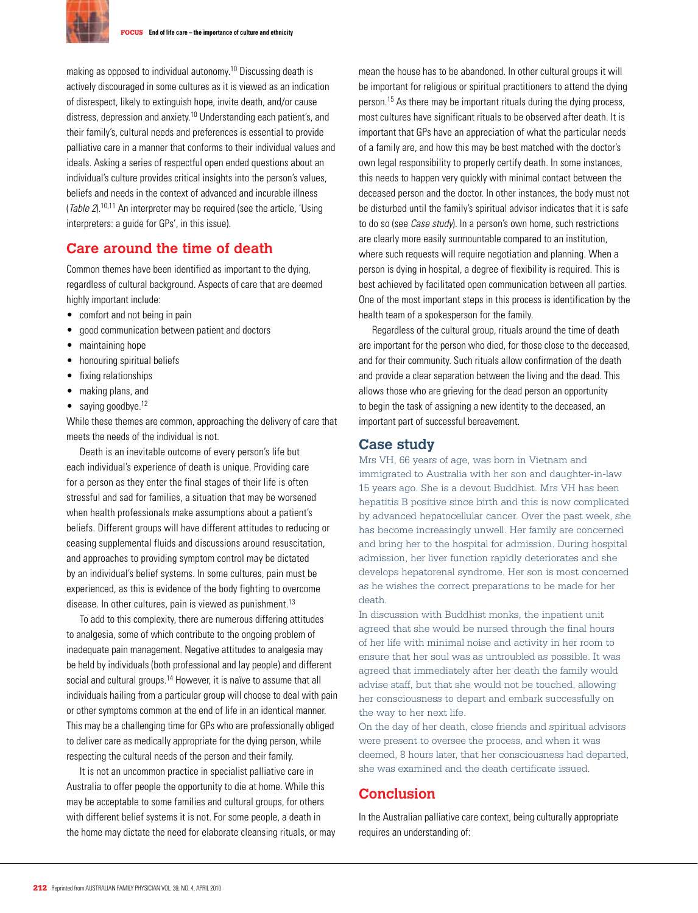

making as opposed to individual autonomy.10 Discussing death is actively discouraged in some cultures as it is viewed as an indication of disrespect, likely to extinguish hope, invite death, and/or cause distress, depression and anxiety.10 Understanding each patient's, and their family's, cultural needs and preferences is essential to provide palliative care in a manner that conforms to their individual values and ideals. Asking a series of respectful open ended questions about an individual's culture provides critical insights into the person's values, beliefs and needs in the context of advanced and incurable illness (Table  $2$ ).<sup>10,11</sup> An interpreter may be required (see the article, 'Using interpreters: a guide for GPs', in this issue).

## **Care around the time of death**

Common themes have been identified as important to the dying, regardless of cultural background. Aspects of care that are deemed highly important include:

- comfort and not being in pain
- good communication between patient and doctors
- maintaining hope
- honouring spiritual beliefs
- fixing relationships
- making plans, and
- $\bullet$  saying goodbye.<sup>12</sup>

While these themes are common, approaching the delivery of care that meets the needs of the individual is not.

Death is an inevitable outcome of every person's life but each individual's experience of death is unique. Providing care for a person as they enter the final stages of their life is often stressful and sad for families, a situation that may be worsened when health professionals make assumptions about a patient's beliefs. Different groups will have different attitudes to reducing or ceasing supplemental fluids and discussions around resuscitation, and approaches to providing symptom control may be dictated by an individual's belief systems. In some cultures, pain must be experienced, as this is evidence of the body fighting to overcome disease. In other cultures, pain is viewed as punishment.<sup>13</sup>

To add to this complexity, there are numerous differing attitudes to analgesia, some of which contribute to the ongoing problem of inadequate pain management. Negative attitudes to analgesia may be held by individuals (both professional and lay people) and different social and cultural groups.<sup>14</sup> However, it is naïve to assume that all individuals hailing from a particular group will choose to deal with pain or other symptoms common at the end of life in an identical manner. This may be a challenging time for GPs who are professionally obliged to deliver care as medically appropriate for the dying person, while respecting the cultural needs of the person and their family.

It is not an uncommon practice in specialist palliative care in Australia to offer people the opportunity to die at home. While this may be acceptable to some families and cultural groups, for others with different belief systems it is not. For some people, a death in the home may dictate the need for elaborate cleansing rituals, or may mean the house has to be abandoned. In other cultural groups it will be important for religious or spiritual practitioners to attend the dying person.15 As there may be important rituals during the dying process, most cultures have significant rituals to be observed after death. It is important that GPs have an appreciation of what the particular needs of a family are, and how this may be best matched with the doctor's own legal responsibility to properly certify death. In some instances, this needs to happen very quickly with minimal contact between the deceased person and the doctor. In other instances, the body must not be disturbed until the family's spiritual advisor indicates that it is safe to do so (see *Case study*). In a person's own home, such restrictions are clearly more easily surmountable compared to an institution, where such requests will require negotiation and planning. When a person is dying in hospital, a degree of flexibility is required. This is best achieved by facilitated open communication between all parties. One of the most important steps in this process is identification by the health team of a spokesperson for the family.

Regardless of the cultural group, rituals around the time of death are important for the person who died, for those close to the deceased, and for their community. Such rituals allow confirmation of the death and provide a clear separation between the living and the dead. This allows those who are grieving for the dead person an opportunity to begin the task of assigning a new identity to the deceased, an important part of successful bereavement.

## **Case study**

Mrs VH, 66 years of age, was born in Vietnam and immigrated to Australia with her son and daughter-in-law 15 years ago. She is a devout Buddhist. Mrs VH has been hepatitis B positive since birth and this is now complicated by advanced hepatocellular cancer. Over the past week, she has become increasingly unwell. Her family are concerned and bring her to the hospital for admission. During hospital admission, her liver function rapidly deteriorates and she develops hepatorenal syndrome. Her son is most concerned as he wishes the correct preparations to be made for her death.

In discussion with Buddhist monks, the inpatient unit agreed that she would be nursed through the final hours of her life with minimal noise and activity in her room to ensure that her soul was as untroubled as possible. It was agreed that immediately after her death the family would advise staff, but that she would not be touched, allowing her consciousness to depart and embark successfully on the way to her next life.

On the day of her death, close friends and spiritual advisors were present to oversee the process, and when it was deemed, 8 hours later, that her consciousness had departed, she was examined and the death certificate issued.

## **Conclusion**

In the Australian palliative care context, being culturally appropriate requires an understanding of: